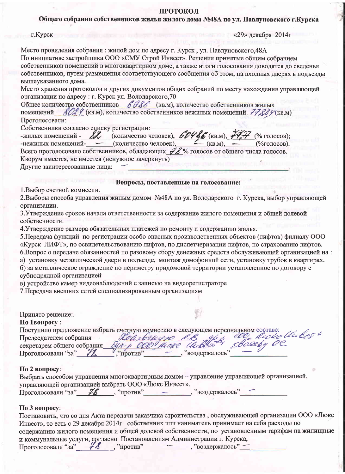### ПРОТОКОЛ

Общего собрания собственников жилья жилого дома №48А по ул. Павлуновского г.Курска

| $r$ . Курск |  |
|-------------|--|
|             |  |

 $\langle 29 \rangle$  декабря 2014г

Место провидения собрания: жилой дом по адресу г. Курск, ул. Павлуновского, 48А По инициативе застройщика ООО «СМУ Строй Инвест». Решения принятые общим собранием собственников помещений в многоквартирном доме, а также итоги голосования доводятся до сведенья собственников, путем размещения соответствующего сообщения об этом, на входных дверях в подъезды вышеуказанного дома.

Место хранения протоколов и других документов общих собраний по месту нахождения управляющей организации по адресу: г. Курск ул. Володарского, 70

Общее количество собственников 6986 (кв.м), количество собственников жилых помещений 80% 9 (кв.м), количество собственников нежилых помещений. 77889 (кв.м) Проголосовали:

Собственники согласно списку регистрации:

| -жилых помещений - $\mathcal{L}$ (количество человек), $\mathcal{L} / \mathcal{L}$ (кв.м), $\mathcal{H} \mathcal{H}$ (% голосов); |  |
|-----------------------------------------------------------------------------------------------------------------------------------|--|
| -нежилых помещений- (количество человек), $(KB.M),$ (%голосов).                                                                   |  |
| Всего проголосовало собственников, обладающих $\mathcal{H}$ % голосов от общего числа голосов.                                    |  |
| Кворум имеется, не имеется (ненужное зачеркнуть)                                                                                  |  |
| Другие заинтересованные лица:                                                                                                     |  |

1. Выбор счетной комиссии.

### Вопросы, поставленные на голосование:

2. Выборы способа управления жилым домом №48А по ул. Володарского г. Курска, выбор управляющей организации.

3. Утверждение сроков начала ответственности за содержание жилого помещения и общей долевой собственности.

4. Утверждение размера обязательных платежей по ремонту и содержанию жилья.

5. Передача функций по регистрации особо опасных производственных объектов (лифтов) филиалу ООО «Курск ЛИФТ», по освидетельствованию лифтов, по диспетчеризации лифтов, по страхованию лифтов. 6. Вопрос о передаче обязанностей по разовому сбору денежных средств обслуживающей организацией на: а) установку металлической двери в подъезде, монтаж домофонной сети, установку трубок в квартирах. б) за металлическое ограждение по периметру придомовой территории установленное по договору с субподрядной организацией

в) устройство камер видеонаблюдений с записью на видеорегистраторе

7. Передача внешних сетей специализированным организациям

Принято решение:.

## По 1вопросу:

|                            | Поступило предложение избрать счетную комиссию в следующем персональном составе: |
|----------------------------|----------------------------------------------------------------------------------|
| Председателем собрания     | We dide thebor.<br>Reasbengre 1.B off Realiste                                   |
| секретарем общего собрания |                                                                                  |
| Проголосовали "за"         | воздержалось"<br><b>Против</b>                                                   |

## По 2 вопросу:

| Выбрать способом управления многоквартирным домом - управление управляющей организацией, |    |                   |                |  |
|------------------------------------------------------------------------------------------|----|-------------------|----------------|--|
| управляющей организацией выбрать ООО «Люкс Инвест».                                      |    |                   |                |  |
| Проголосовали "за"                                                                       | ZZ | $\ldots$ "против" | "воздержалось" |  |

## $\Pi$ о 3 вопросу:

| Постановить, что со дня Акта передачи заказчика строительства, обслуживающей организации ООО «Люкс |
|----------------------------------------------------------------------------------------------------|
| Инвест», то есть с 29 декабря 2014г. собственник или наниматель принимает на себя расходы по       |
| содержанию жилого помещения и общей долевой собственности, по установленным тарифам на жилищные    |
| и коммунальные услуги, согласно Постановлениям Администрации г. Курска,                            |
| Проголосовали "за" 78<br>, "воздержалось" -<br>, "против"                                          |